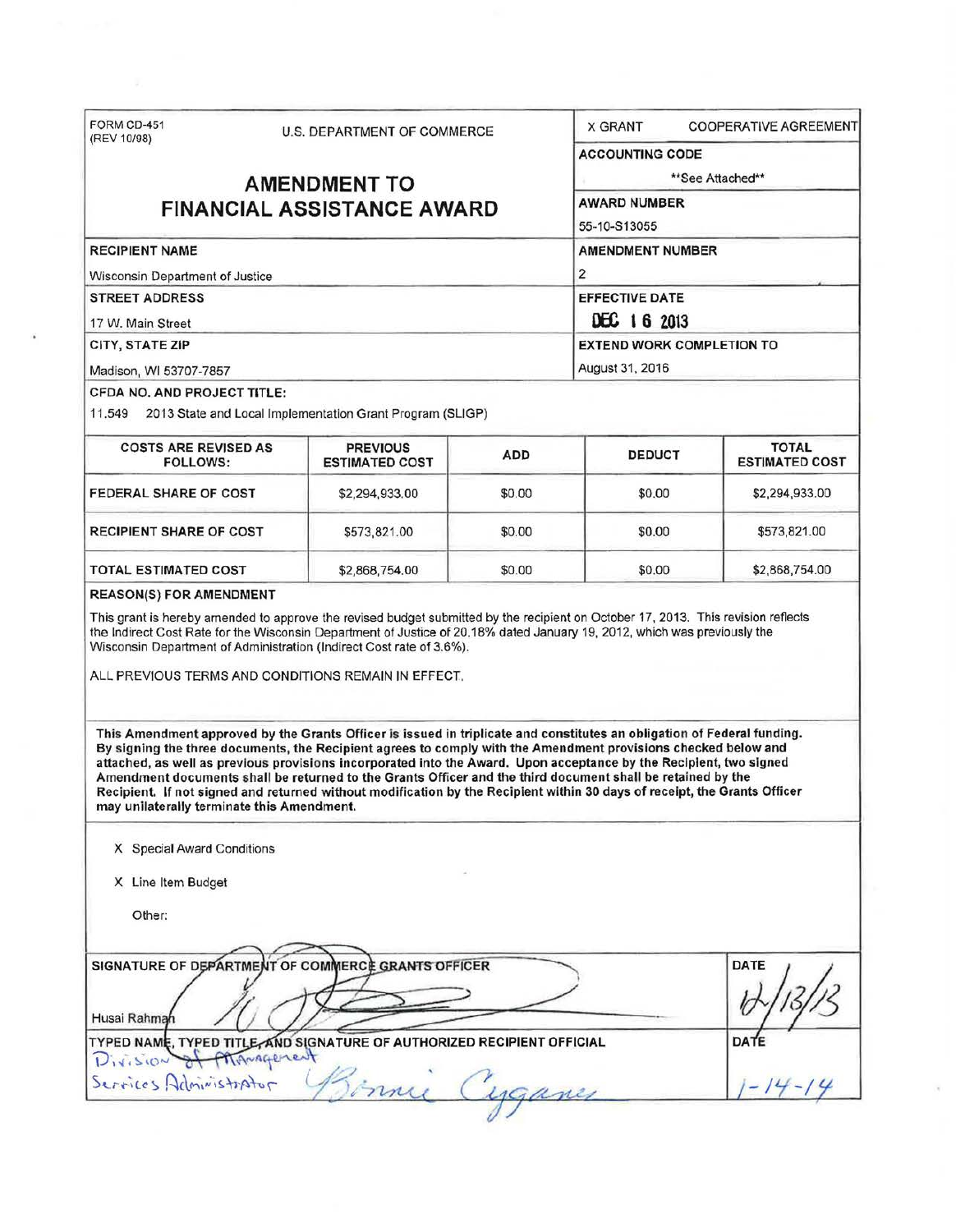| (REV 10/98)                                                                                    |                                   | <b>U.S. DEPARTMENT OF COMMERCE</b>                                                                                                                                                                                                                                                                                                                                                                                                                                                                                                                                                                          |                         | COOPERATIVE AGREEMENT<br><b>X GRANT</b> |                                       |  |
|------------------------------------------------------------------------------------------------|-----------------------------------|-------------------------------------------------------------------------------------------------------------------------------------------------------------------------------------------------------------------------------------------------------------------------------------------------------------------------------------------------------------------------------------------------------------------------------------------------------------------------------------------------------------------------------------------------------------------------------------------------------------|-------------------------|-----------------------------------------|---------------------------------------|--|
|                                                                                                |                                   |                                                                                                                                                                                                                                                                                                                                                                                                                                                                                                                                                                                                             | <b>ACCOUNTING CODE</b>  |                                         |                                       |  |
|                                                                                                | <b>AMENDMENT TO</b>               |                                                                                                                                                                                                                                                                                                                                                                                                                                                                                                                                                                                                             | **See Attached**        |                                         |                                       |  |
|                                                                                                | <b>FINANCIAL ASSISTANCE AWARD</b> |                                                                                                                                                                                                                                                                                                                                                                                                                                                                                                                                                                                                             | <b>AWARD NUMBER</b>     |                                         |                                       |  |
|                                                                                                |                                   |                                                                                                                                                                                                                                                                                                                                                                                                                                                                                                                                                                                                             | 55-10-S13055            |                                         |                                       |  |
| <b>RECIPIENT NAME</b>                                                                          |                                   |                                                                                                                                                                                                                                                                                                                                                                                                                                                                                                                                                                                                             | <b>AMENDMENT NUMBER</b> |                                         |                                       |  |
| Wisconsin Department of Justice                                                                |                                   |                                                                                                                                                                                                                                                                                                                                                                                                                                                                                                                                                                                                             |                         | $\overline{\mathbf{c}}$                 |                                       |  |
| <b>STREET ADDRESS</b>                                                                          |                                   |                                                                                                                                                                                                                                                                                                                                                                                                                                                                                                                                                                                                             |                         | <b>EFFECTIVE DATE</b>                   |                                       |  |
| 17 W. Main Street                                                                              |                                   |                                                                                                                                                                                                                                                                                                                                                                                                                                                                                                                                                                                                             |                         | DEC 16 2013                             |                                       |  |
| CITY, STATE ZIP                                                                                |                                   |                                                                                                                                                                                                                                                                                                                                                                                                                                                                                                                                                                                                             |                         | <b>EXTEND WORK COMPLETION TO</b>        |                                       |  |
| Madison, WI 53707-7857                                                                         |                                   |                                                                                                                                                                                                                                                                                                                                                                                                                                                                                                                                                                                                             |                         | August 31, 2016                         |                                       |  |
| CFDA NO. AND PROJECT TITLE:                                                                    |                                   |                                                                                                                                                                                                                                                                                                                                                                                                                                                                                                                                                                                                             |                         |                                         |                                       |  |
| 11.549                                                                                         |                                   | 2013 State and Local Implementation Grant Program (SLIGP)                                                                                                                                                                                                                                                                                                                                                                                                                                                                                                                                                   |                         |                                         |                                       |  |
| <b>COSTS ARE REVISED AS</b><br><b>FOLLOWS:</b>                                                 |                                   | <b>PREVIOUS</b><br><b>ESTIMATED COST</b>                                                                                                                                                                                                                                                                                                                                                                                                                                                                                                                                                                    | <b>ADD</b>              | <b>DEDUCT</b>                           | <b>TOTAL</b><br><b>ESTIMATED COST</b> |  |
| <b>FEDERAL SHARE OF COST</b>                                                                   |                                   | \$2,294,933.00                                                                                                                                                                                                                                                                                                                                                                                                                                                                                                                                                                                              | \$0.00                  | \$0.00                                  | \$2,294,933.00                        |  |
| <b>RECIPIENT SHARE OF COST</b>                                                                 |                                   | \$573,821.00                                                                                                                                                                                                                                                                                                                                                                                                                                                                                                                                                                                                | \$0.00                  | \$0.00                                  | \$573,821.00                          |  |
| TOTAL ESTIMATED COST                                                                           |                                   | \$2,868,754.00                                                                                                                                                                                                                                                                                                                                                                                                                                                                                                                                                                                              | \$0.00                  | \$0.00                                  | \$2,868,754.00                        |  |
|                                                                                                |                                   | This grant is hereby amended to approve the revised budget submitted by the recipient on October 17, 2013. This revision reflects<br>the Indirect Cost Rate for the Wisconsin Department of Justice of 20.18% dated January 19, 2012, which was previously the<br>Wisconsin Department of Administration (Indirect Cost rate of 3.6%).                                                                                                                                                                                                                                                                      |                         |                                         |                                       |  |
| <b>REASON(S) FOR AMENDMENT</b>                                                                 |                                   | ALL PREVIOUS TERMS AND CONDITIONS REMAIN IN EFFECT.                                                                                                                                                                                                                                                                                                                                                                                                                                                                                                                                                         |                         |                                         |                                       |  |
| may unilaterally terminate this Amendment.<br>X Special Award Conditions<br>X Line Item Budget |                                   | This Amendment approved by the Grants Officer is issued in triplicate and constitutes an obligation of Federal funding.<br>By signing the three documents, the Recipient agrees to comply with the Amendment provisions checked below and<br>attached, as well as previous provisions incorporated into the Award. Upon acceptance by the Recipient, two signed<br>Amendment documents shall be returned to the Grants Officer and the third document shall be retained by the<br>Recipient. If not signed and returned without modification by the Recipient within 30 days of receipt, the Grants Officer |                         |                                         |                                       |  |
| Other:                                                                                         |                                   |                                                                                                                                                                                                                                                                                                                                                                                                                                                                                                                                                                                                             |                         |                                         |                                       |  |
| Husai Rahmah                                                                                   |                                   | SIGNATURE OF DEPARTMENT OF COMMERCE GRANTS OFFICER                                                                                                                                                                                                                                                                                                                                                                                                                                                                                                                                                          |                         |                                         | <b>DATE</b>                           |  |
| Division of Mignagement<br>Services Administrator                                              |                                   | TYPED NAME, TYPED TITLE, AND SIGNATURE OF AUTHORIZED RECIPIENT OFFICIAL<br>inny                                                                                                                                                                                                                                                                                                                                                                                                                                                                                                                             |                         |                                         | DATE                                  |  |

 $\overline{\phantom{a}}$